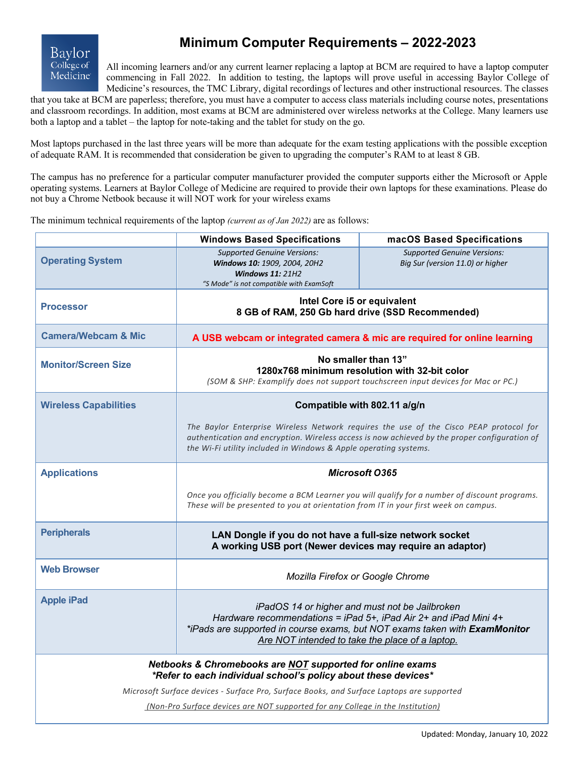

# **Minimum Computer Requirements – 2022-2023**

All incoming learners and/or any current learner replacing a laptop at BCM are required to have a laptop computer commencing in Fall 2022. In addition to testing, the laptops will prove useful in accessing Baylor College of Medicine's resources, the TMC Library, digital recordings of lectures and other instructional resources. The classes

that you take at BCM are paperless; therefore, you must have a computer to access class materials including course notes, presentations and classroom recordings. In addition, most exams at BCM are administered over wireless networks at the College. Many learners use both a laptop and a tablet – the laptop for note-taking and the tablet for study on the go.

Most laptops purchased in the last three years will be more than adequate for the exam testing applications with the possible exception of adequate RAM. It is recommended that consideration be given to upgrading the computer's RAM to at least 8 GB.

The campus has no preference for a particular computer manufacturer provided the computer supports either the Microsoft or Apple operating systems. Learners at Baylor College of Medicine are required to provide their own laptops for these examinations. Please do not buy a Chrome Netbook because it will NOT work for your wireless exams

The minimum technical requirements of the laptop *(current as of Jan 2022)* are as follows:

|                                                                                                                             | <b>Windows Based Specifications</b>                                                                                                                                                                                                                         | macOS Based Specifications                                             |
|-----------------------------------------------------------------------------------------------------------------------------|-------------------------------------------------------------------------------------------------------------------------------------------------------------------------------------------------------------------------------------------------------------|------------------------------------------------------------------------|
| <b>Operating System</b>                                                                                                     | <b>Supported Genuine Versions:</b><br>Windows 10: 1909, 2004, 20H2<br><b>Windows 11: 21H2</b><br>"S Mode" is not compatible with ExamSoft                                                                                                                   | <b>Supported Genuine Versions:</b><br>Big Sur (version 11.0) or higher |
| <b>Processor</b>                                                                                                            | Intel Core i5 or equivalent<br>8 GB of RAM, 250 Gb hard drive (SSD Recommended)                                                                                                                                                                             |                                                                        |
| <b>Camera/Webcam &amp; Mic</b>                                                                                              | A USB webcam or integrated camera & mic are required for online learning                                                                                                                                                                                    |                                                                        |
| <b>Monitor/Screen Size</b>                                                                                                  | No smaller than 13"<br>1280x768 minimum resolution with 32-bit color<br>(SOM & SHP: Examplify does not support touchscreen input devices for Mac or PC.)                                                                                                    |                                                                        |
| <b>Wireless Capabilities</b>                                                                                                | Compatible with 802.11 a/g/n                                                                                                                                                                                                                                |                                                                        |
|                                                                                                                             | The Baylor Enterprise Wireless Network requires the use of the Cisco PEAP protocol for<br>authentication and encryption. Wireless access is now achieved by the proper configuration of<br>the Wi-Fi utility included in Windows & Apple operating systems. |                                                                        |
| <b>Applications</b>                                                                                                         | <b>Microsoft O365</b>                                                                                                                                                                                                                                       |                                                                        |
|                                                                                                                             | Once you officially become a BCM Learner you will qualify for a number of discount programs.<br>These will be presented to you at orientation from IT in your first week on campus.                                                                         |                                                                        |
| <b>Peripherals</b>                                                                                                          | LAN Dongle if you do not have a full-size network socket<br>A working USB port (Newer devices may require an adaptor)                                                                                                                                       |                                                                        |
| <b>Web Browser</b>                                                                                                          | Mozilla Firefox or Google Chrome                                                                                                                                                                                                                            |                                                                        |
| <b>Apple iPad</b>                                                                                                           | iPadOS 14 or higher and must not be Jailbroken<br>Hardware recommendations = iPad 5+, iPad Air 2+ and iPad Mini 4+<br>*iPads are supported in course exams, but NOT exams taken with ExamMonitor<br>Are NOT intended to take the place of a laptop.         |                                                                        |
| Netbooks & Chromebooks are NOT supported for online exams<br>*Refer to each individual school's policy about these devices* |                                                                                                                                                                                                                                                             |                                                                        |
| Microsoft Surface devices - Surface Pro, Surface Books, and Surface Laptops are supported                                   |                                                                                                                                                                                                                                                             |                                                                        |
| (Non-Pro Surface devices are NOT supported for any College in the Institution)                                              |                                                                                                                                                                                                                                                             |                                                                        |